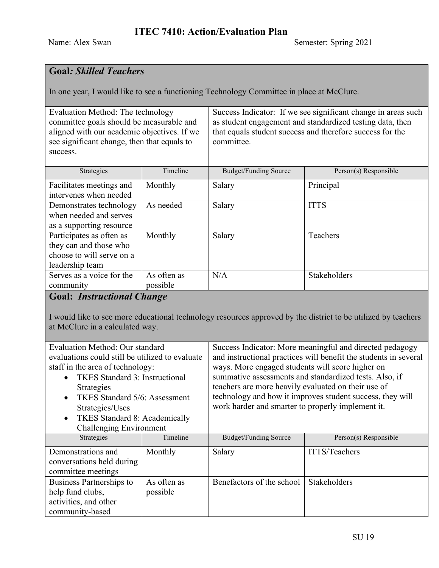# **Goal***: Skilled Teachers*

In one year, I would like to see a functioning Technology Committee in place at McClure.

| Evaluation Method: The technology<br>committee goals should be measurable and<br>aligned with our academic objectives. If we<br>see significant change, then that equals to<br>success. |                         | Success Indicator: If we see significant change in areas such<br>as student engagement and standardized testing data, then<br>that equals student success and therefore success for the<br>committee. |                       |
|-----------------------------------------------------------------------------------------------------------------------------------------------------------------------------------------|-------------------------|-------------------------------------------------------------------------------------------------------------------------------------------------------------------------------------------------------|-----------------------|
| Strategies                                                                                                                                                                              | Timeline                | <b>Budget/Funding Source</b>                                                                                                                                                                          | Person(s) Responsible |
| Facilitates meetings and<br>intervenes when needed                                                                                                                                      | Monthly                 | Salary                                                                                                                                                                                                | Principal             |
| Demonstrates technology<br>when needed and serves<br>as a supporting resource                                                                                                           | As needed               | Salary                                                                                                                                                                                                | <b>ITTS</b>           |
| Participates as often as<br>they can and those who<br>choose to will serve on a<br>leadership team                                                                                      | Monthly                 | Salary                                                                                                                                                                                                | Teachers              |
| Serves as a voice for the<br>community                                                                                                                                                  | As often as<br>possible | N/A                                                                                                                                                                                                   | Stakeholders          |
| <b>Goal: Instructional Change</b>                                                                                                                                                       |                         |                                                                                                                                                                                                       |                       |

I would like to see more educational technology resources approved by the district to be utilized by teachers at McClure in a calculated way.

| Evaluation Method: Our standard                   |             | Success Indicator: More meaningful and directed pedagogy         |                       |
|---------------------------------------------------|-------------|------------------------------------------------------------------|-----------------------|
| evaluations could still be utilized to evaluate   |             | and instructional practices will benefit the students in several |                       |
| staff in the area of technology:                  |             | ways. More engaged students will score higher on                 |                       |
| <b>TKES</b> Standard 3: Instructional             |             | summative assessments and standardized tests. Also, if           |                       |
| Strategies                                        |             | teachers are more heavily evaluated on their use of              |                       |
| TKES Standard 5/6: Assessment<br>$\bullet$        |             | technology and how it improves student success, they will        |                       |
| Strategies/Uses                                   |             | work harder and smarter to properly implement it.                |                       |
| <b>TKES Standard 8: Academically</b><br>$\bullet$ |             |                                                                  |                       |
| <b>Challenging Environment</b>                    |             |                                                                  |                       |
| <b>Strategies</b>                                 | Timeline    | Budget/Funding Source                                            | Person(s) Responsible |
| Demonstrations and                                | Monthly     | Salary                                                           | ITTS/Teachers         |
| conversations held during                         |             |                                                                  |                       |
| committee meetings                                |             |                                                                  |                       |
| Business Partnerships to                          | As often as | Benefactors of the school                                        | Stakeholders          |
| help fund clubs,                                  | possible    |                                                                  |                       |
| activities, and other                             |             |                                                                  |                       |
| community-based                                   |             |                                                                  |                       |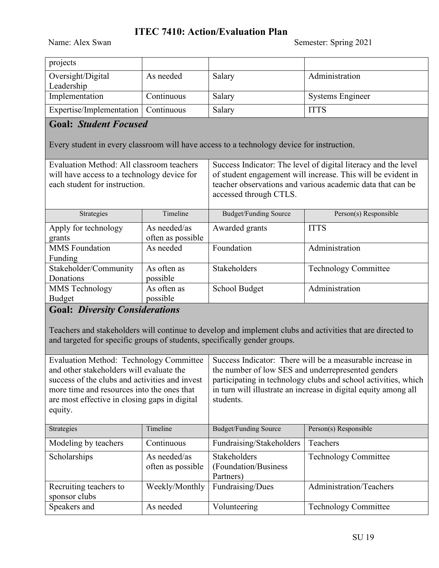#### **ITEC 7410: Action/Evaluation Plan**

| projects                              |            |        |                         |
|---------------------------------------|------------|--------|-------------------------|
| Oversight/Digital                     | As needed  | Salary | Administration          |
| Leadership                            |            |        |                         |
| Implementation                        | Continuous | Salary | <b>Systems Engineer</b> |
| Expertise/Implementation   Continuous |            | Salary | <b>ITTS</b>             |

### **Goal:** *Student Focused*

Every student in every classroom will have access to a technology device for instruction.

| Evaluation Method: All classroom teachers<br>will have access to a technology device for<br>each student for instruction. |                                   | Success Indicator: The level of digital literacy and the level<br>of student engagement will increase. This will be evident in<br>teacher observations and various academic data that can be<br>accessed through CTLS. |                             |
|---------------------------------------------------------------------------------------------------------------------------|-----------------------------------|------------------------------------------------------------------------------------------------------------------------------------------------------------------------------------------------------------------------|-----------------------------|
| Strategies                                                                                                                | Timeline                          | Budget/Funding Source                                                                                                                                                                                                  | Person(s) Responsible       |
| Apply for technology<br>grants                                                                                            | As needed/as<br>often as possible | Awarded grants                                                                                                                                                                                                         | <b>ITTS</b>                 |
| <b>MMS</b> Foundation<br>Funding                                                                                          | As needed                         | Foundation                                                                                                                                                                                                             | Administration              |
| Stakeholder/Community<br>Donations                                                                                        | As often as<br>possible           | <b>Stakeholders</b>                                                                                                                                                                                                    | <b>Technology Committee</b> |
| <b>MMS</b> Technology<br><b>Budget</b>                                                                                    | As often as<br>possible           | School Budget                                                                                                                                                                                                          | Administration              |

# **Goal:** *Diversity Considerations*

Teachers and stakeholders will continue to develop and implement clubs and activities that are directed to and targeted for specific groups of students, specifically gender groups.

| <b>Evaluation Method: Technology Committee</b><br>and other stakeholders will evaluate the<br>success of the clubs and activities and invest<br>more time and resources into the ones that<br>are most effective in closing gaps in digital |                                   | Success Indicator: There will be a measurable increase in<br>the number of low SES and underrepresented genders<br>participating in technology clubs and school activities, which<br>in turn will illustrate an increase in digital equity among all<br>students. |                             |
|---------------------------------------------------------------------------------------------------------------------------------------------------------------------------------------------------------------------------------------------|-----------------------------------|-------------------------------------------------------------------------------------------------------------------------------------------------------------------------------------------------------------------------------------------------------------------|-----------------------------|
| equity.                                                                                                                                                                                                                                     |                                   |                                                                                                                                                                                                                                                                   |                             |
| Strategies                                                                                                                                                                                                                                  | Timeline                          | <b>Budget/Funding Source</b>                                                                                                                                                                                                                                      | Person(s) Responsible       |
| Modeling by teachers                                                                                                                                                                                                                        | Continuous                        | Fundraising/Stakeholders                                                                                                                                                                                                                                          | Teachers                    |
| Scholarships                                                                                                                                                                                                                                | As needed/as<br>often as possible | Stakeholders<br>(Foundation/Business)<br>Partners)                                                                                                                                                                                                                | <b>Technology Committee</b> |
| Recruiting teachers to<br>sponsor clubs                                                                                                                                                                                                     | Weekly/Monthly                    | Fundraising/Dues                                                                                                                                                                                                                                                  | Administration/Teachers     |
| Speakers and                                                                                                                                                                                                                                | As needed                         | Volunteering                                                                                                                                                                                                                                                      | <b>Technology Committee</b> |